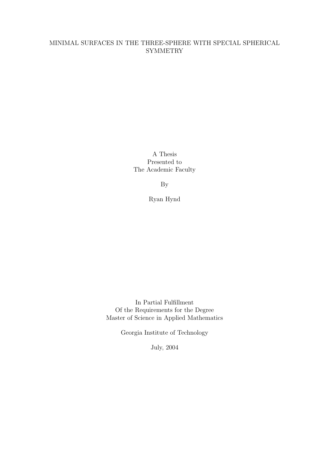# MINIMAL SURFACES IN THE THREE-SPHERE WITH SPECIAL SPHERICAL **SYMMETRY**

A Thesis Presented to The Academic Faculty

By

Ryan Hynd

In Partial Fulfillment Of the Requirements for the Degree Master of Science in Applied Mathematics

Georgia Institute of Technology

July, 2004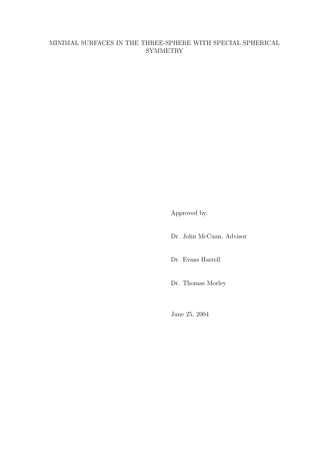# MINIMAL SURFACES IN THE THREE-SPHERE WITH SPECIAL SPHERICAL **SYMMETRY**

Approved by:

Dr. John McCuan, Advisor

Dr. Evans Harrell

Dr. Thomas Morley

June 25, 2004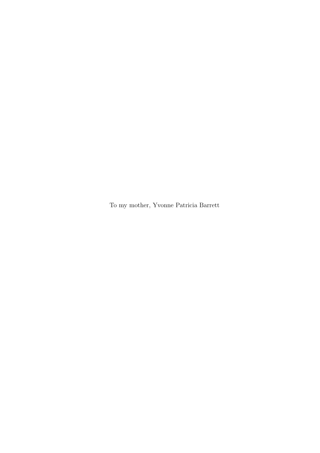To my mother, Yvonne Patricia Barrett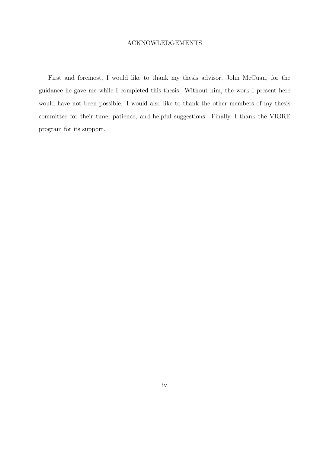### ACKNOWLEDGEMENTS

First and foremost, I would like to thank my thesis advisor, John McCuan, for the guidance he gave me while I completed this thesis. Without him, the work I present here would have not been possible. I would also like to thank the other members of my thesis committee for their time, patience, and helpful suggestions. Finally, I thank the VIGRE program for its support.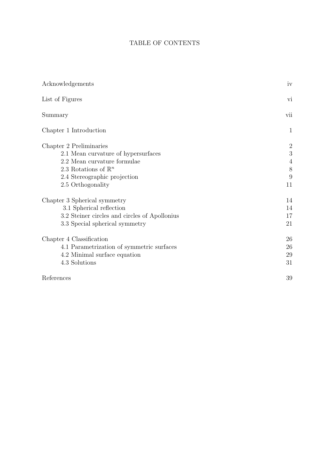# TABLE OF CONTENTS

| Acknowledgements                              | iv             |
|-----------------------------------------------|----------------|
| List of Figures                               | vi             |
| Summary                                       | vii            |
| Chapter 1 Introduction                        | $\mathbf{1}$   |
| Chapter 2 Preliminaries                       | $\overline{2}$ |
| 2.1 Mean curvature of hypersurfaces           | 3              |
| 2.2 Mean curvature formulae                   | $\overline{4}$ |
| 2.3 Rotations of $\mathbb{R}^n$               | 8              |
| 2.4 Stereographic projection                  | 9              |
| 2.5 Orthogonality                             | 11             |
| Chapter 3 Spherical symmetry                  | 14             |
| 3.1 Spherical reflection                      | 14             |
| 3.2 Steiner circles and circles of Apollonius | 17             |
| 3.3 Special spherical symmetry                | 21             |
| Chapter 4 Classification                      | 26             |
| 4.1 Parametrization of symmetric surfaces     | 26             |
| 4.2 Minimal surface equation                  | 29             |
| 4.3 Solutions                                 | 31             |
| References                                    | 39             |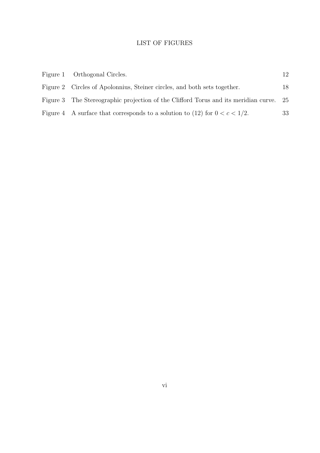## LIST OF FIGURES

| Figure 1 Orthogonal Circles.                                                           | 12 |
|----------------------------------------------------------------------------------------|----|
| Figure 2 Circles of Apolonnius, Steiner circles, and both sets together.               | 18 |
| Figure 3 The Stereographic projection of the Clifford Torus and its meridian curve. 25 |    |
| Figure 4 A surface that corresponds to a solution to (12) for $0 < c < 1/2$ .          | 33 |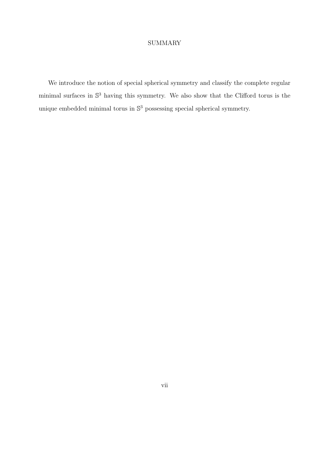### SUMMARY

We introduce the notion of special spherical symmetry and classify the complete regular minimal surfaces in  $\mathbb{S}^3$  having this symmetry. We also show that the Clifford torus is the unique embedded minimal torus in  $\mathbb{S}^3$  possessing special spherical symmetry.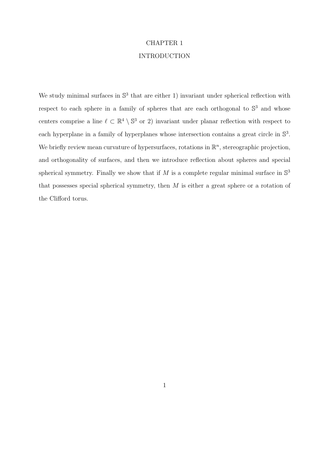# CHAPTER 1

## INTRODUCTION

We study minimal surfaces in  $\mathbb{S}^3$  that are either 1) invariant under spherical reflection with respect to each sphere in a family of spheres that are each orthogonal to  $\mathbb{S}^3$  and whose centers comprise a line  $\ell \subset \mathbb{R}^4 \setminus \mathbb{S}^3$  or 2) invariant under planar reflection with respect to each hyperplane in a family of hyperplanes whose intersection contains a great circle in  $\mathbb{S}^3$ . We briefly review mean curvature of hypersurfaces, rotations in  $\mathbb{R}^n$ , stereographic projection, and orthogonality of surfaces, and then we introduce reflection about spheres and special spherical symmetry. Finally we show that if M is a complete regular minimal surface in  $\mathbb{S}^3$ that possesses special spherical symmetry, then  $M$  is either a great sphere or a rotation of the Clifford torus.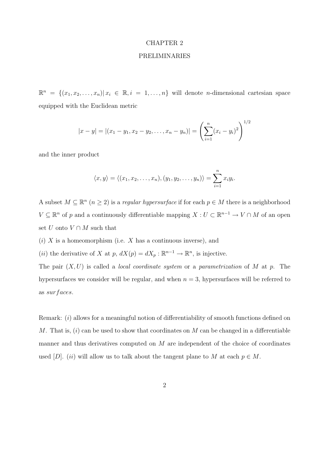#### CHAPTER 2

#### PRELIMINARIES

 $\mathbb{R}^n = \{(x_1, x_2, \ldots, x_n) | x_i \in \mathbb{R}, i = 1, \ldots, n\}$  will denote *n*-dimensional cartesian space equipped with the Euclidean metric

$$
|x - y| = |(x_1 - y_1, x_2 - y_2, \dots, x_n - y_n)| = \left(\sum_{i=1}^n (x_i - y_i)^2\right)^{1/2}
$$

and the inner product

$$
\langle x,y\rangle=\langle(x_1,x_2,\ldots,x_n),(y_1,y_2,\ldots,y_n)\rangle=\sum_{i=1}^n x_iy_i.
$$

A subset  $M \subseteq \mathbb{R}^n$   $(n \geq 2)$  is a regular hypersurface if for each  $p \in M$  there is a neighborhood  $V \subseteq \mathbb{R}^n$  of p and a continuously differentiable mapping  $X : U \subset \mathbb{R}^{n-1} \to V \cap M$  of an open set U onto  $V \cap M$  such that

- $(i)$  X is a homeomorphism (i.e. X has a continuous inverse), and
- (*ii*) the derivative of X at p,  $dX(p) = dX_p : \mathbb{R}^{n-1} \to \mathbb{R}^n$ , is injective.

The pair  $(X, U)$  is called a *local coordinate system* or a *parametrization* of M at p. The hypersurfaces we consider will be regular, and when  $n = 3$ , hypersurfaces will be referred to as sur faces.

Remark: (i) allows for a meaningful notion of differentiability of smooth functions defined on M. That is,  $(i)$  can be used to show that coordinates on M can be changed in a differentiable manner and thus derivatives computed on  $M$  are independent of the choice of coordinates used [D]. (ii) will allow us to talk about the tangent plane to M at each  $p \in M$ .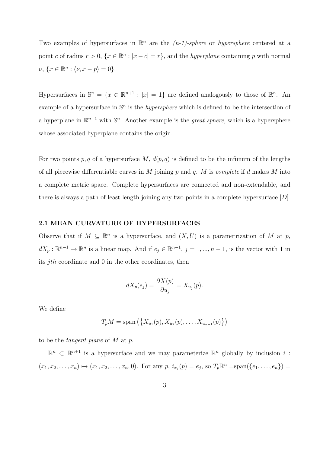Two examples of hypersurfaces in  $\mathbb{R}^n$  are the  $(n-1)$ -sphere or hypersphere centered at a point c of radius  $r > 0$ ,  $\{x \in \mathbb{R}^n : |x - c| = r\}$ , and the *hyperplane* containing p with normal  $\nu, \{x \in \mathbb{R}^n : \langle \nu, x - p \rangle = 0\}.$ 

Hypersurfaces in  $\mathbb{S}^n = \{x \in \mathbb{R}^{n+1} : |x| = 1\}$  are defined analogously to those of  $\mathbb{R}^n$ . An example of a hypersurface in  $\mathbb{S}^n$  is the *hypersphere* which is defined to be the intersection of a hyperplane in  $\mathbb{R}^{n+1}$  with  $\mathbb{S}^n$ . Another example is the *great sphere*, which is a hypersphere whose associated hyperplane contains the origin.

For two points p, q of a hypersurface M,  $d(p, q)$  is defined to be the infimum of the lengths of all piecewise differentiable curves in M joining  $p$  and  $q$ . M is complete if d makes M into a complete metric space. Complete hypersurfaces are connected and non-extendable, and there is always a path of least length joining any two points in a complete hypersurface [D].

#### 2.1 MEAN CURVATURE OF HYPERSURFACES

Observe that if  $M \subseteq \mathbb{R}^n$  is a hypersurface, and  $(X, U)$  is a parametrization of M at p,  $dX_p: \mathbb{R}^{n-1} \to \mathbb{R}^n$  is a linear map. And if  $e_j \in \mathbb{R}^{n-1}$ ,  $j = 1, ..., n-1$ , is the vector with 1 in its *ith* coordinate and  $\theta$  in the other coordinates, then

$$
dX_p(e_j) = \frac{\partial X(p)}{\partial u_j} = X_{u_j}(p).
$$

We define

$$
T_pM = \text{span}(\{X_{u_1}(p), X_{u_2}(p), \dots, X_{u_{n-1}}(p)\})
$$

to be the tangent plane of M at p.

 $\mathbb{R}^n \subset \mathbb{R}^{n+1}$  is a hypersurface and we may parameterize  $\mathbb{R}^n$  globally by inclusion i:  $(x_1, x_2, \ldots, x_n) \mapsto (x_1, x_2, \ldots, x_n, 0)$ . For any  $p, i_{x_j}(p) = e_j$ , so  $T_p \mathbb{R}^n = \text{span}(\{e_1, \ldots, e_n\}) =$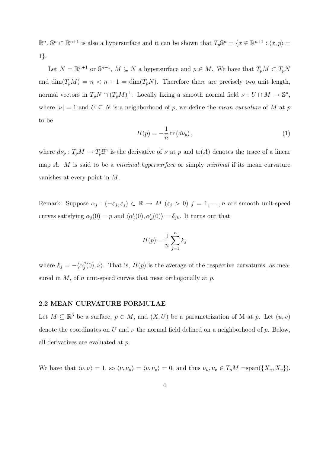$\mathbb{R}^n$ .  $\mathbb{S}^n \subset \mathbb{R}^{n+1}$  is also a hypersurface and it can be shown that  $T_p \mathbb{S}^n = \{x \in \mathbb{R}^{n+1} : \langle x, p \rangle =$ 1}.

Let  $N = \mathbb{R}^{n+1}$  or  $\mathbb{S}^{n+1}$ ,  $M \subseteq N$  a hypersurface and  $p \in M$ . We have that  $T_pM \subset T_pN$ and  $\dim(T_pM) = n < n + 1 = \dim(T_pN)$ . Therefore there are precisely two unit length, normal vectors in  $T_p N \cap (T_p M)^{\perp}$ . Locally fixing a smooth normal field  $\nu: U \cap M \to \mathbb{S}^n$ , where  $|\nu| = 1$  and  $U \subseteq N$  is a neighborhood of p, we define the mean curvature of M at p to be

$$
H(p) = -\frac{1}{n} \operatorname{tr} \left( d\nu_p \right),\tag{1}
$$

where  $d\nu_p: T_pM \to T_p\mathbb{S}^n$  is the derivative of  $\nu$  at p and  $tr(A)$  denotes the trace of a linear map A. M is said to be a *minimal hypersurface* or simply *minimal* if its mean curvature vanishes at every point in M.

Remark: Suppose  $\alpha_j : (-\varepsilon_j, \varepsilon_j) \subset \mathbb{R} \to M$   $(\varepsilon_j > 0)$   $j = 1, \ldots, n$  are smooth unit-speed curves satisfying  $\alpha_j(0) = p$  and  $\langle \alpha'_j(0), \alpha'_k(0) \rangle = \delta_{jk}$ . It turns out that

$$
H(p) = \frac{1}{n} \sum_{j=1}^{n} k_j
$$

where  $k_j = -\langle \alpha''_j(0), \nu \rangle$ . That is,  $H(p)$  is the average of the respective curvatures, as measured in  $M$ , of n unit-speed curves that meet orthogonally at  $p$ .

#### 2.2 MEAN CURVATURE FORMULAE

Let  $M \subseteq \mathbb{R}^3$  be a surface,  $p \in M$ , and  $(X, U)$  be a parametrization of M at p. Let  $(u, v)$ denote the coordinates on U and  $\nu$  the normal field defined on a neighborhood of p. Below, all derivatives are evaluated at p.

We have that  $\langle \nu, \nu \rangle = 1$ , so  $\langle \nu, \nu_u \rangle = \langle \nu, \nu_v \rangle = 0$ , and thus  $\nu_u, \nu_v \in T_pM = \text{span}(\{X_u, X_v\}).$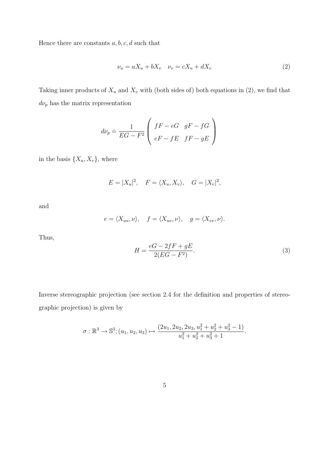Hence there are constants  $a, b, c, d$  such that

$$
\nu_u = aX_u + bX_v \quad \nu_v = cX_u + dX_v \tag{2}
$$

Taking inner products of  $X_u$  and  $X_v$  with (both sides of) both equations in (2), we find that  $d\nu_p$  has the matrix representation

$$
d\nu_p \doteq \frac{1}{EG - F^2} \left( \begin{array}{cc} fF - eG & gF - fG \\ eF - fE & fF - gE \end{array} \right)
$$

in the basis  $\{X_u, X_v\}$ , where

$$
E = |X_u|^2, \quad F = \langle X_u, X_v \rangle, \quad G = |X_v|^2,
$$

and

$$
e = \langle X_{uu}, \nu \rangle, \quad f = \langle X_{uv}, \nu \rangle, \quad g = \langle X_{vv}, \nu \rangle.
$$

Thus,

$$
H = \frac{eG - 2fF + gE}{2(EG - F^2)}.\tag{3}
$$

Inverse stereographic projection (see section 2.4 for the definition and properties of stereographic projection) is given by

$$
\sigma : \mathbb{R}^3 \to \mathbb{S}^3; (u_1, u_2, u_3) \mapsto \frac{(2u_1, 2u_2, 2u_3, u_1^2 + u_2^2 + u_3^2 - 1)}{u_1^2 + u_2^2 + u_3^2 + 1}.
$$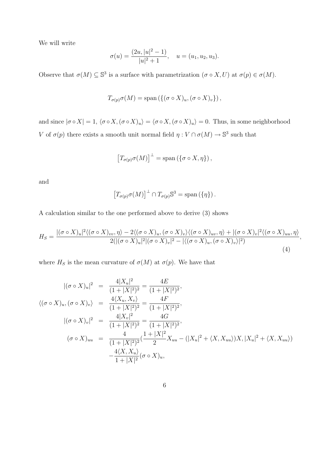We will write

$$
\sigma(u) = \frac{(2u, |u|^2 - 1)}{|u|^2 + 1}, \quad u = (u_1, u_2, u_3).
$$

Observe that  $\sigma(M) \subseteq \mathbb{S}^3$  is a surface with parametrization  $(\sigma \circ X, U)$  at  $\sigma(p) \in \sigma(M)$ .

$$
T_{\sigma(p)}\sigma(M) = \text{span}\left(\{(\sigma \circ X)_u, (\sigma \circ X)_v\}\right),\,
$$

and since  $|\sigma \circ X| = 1$ ,  $\langle \sigma \circ X, (\sigma \circ X)_u \rangle = \langle \sigma \circ X, (\sigma \circ X)_u \rangle = 0$ . Thus, in some neighborhood V of  $\sigma(p)$  there exists a smooth unit normal field  $\eta: V \cap \sigma(M) \to \mathbb{S}^3$  such that

$$
\left[T_{\sigma(p)}\sigma(M)\right]^{\perp}=\mathrm{span}\left(\{\sigma\circ X,\eta\}\right),\,
$$

and

$$
\left[T_{\sigma(p)}\sigma(M)\right]^{\perp}\cap T_{\sigma(p)}\mathbb{S}^3=\mathrm{span}\left(\{\eta\}\right).
$$

A calculation similar to the one performed above to derive (3) shows

$$
H_S = \frac{|(\sigma \circ X)_u|^2 \langle (\sigma \circ X)_{vv}, \eta \rangle - 2 \langle (\sigma \circ X)_u, (\sigma \circ X)_v \rangle \langle (\sigma \circ X)_{uv}, \eta \rangle + |(\sigma \circ X)_v|^2 \langle (\sigma \circ X)_{uu}, \eta \rangle}{2(|(\sigma \circ X)_u|^2 | (\sigma \circ X)_v|^2 - |\langle (\sigma \circ X)_u, (\sigma \circ X)_v \rangle|^2)}, \tag{4}
$$

where  $H_S$  is the mean curvature of  $\sigma(M)$  at  $\sigma(p)$ . We have that

$$
\begin{array}{rcl}\n|(\sigma \circ X)_u|^2 & = & \frac{4|X_u|^2}{(1+|X|^2)^2} = \frac{4E}{(1+|X|^2)^2}, \\
\langle (\sigma \circ X)_u, (\sigma \circ X)_v \rangle & = & \frac{4\langle X_u, X_v \rangle}{(1+|X|^2)^2} = \frac{4F}{(1+|X|^2)^2}, \\
|(\sigma \circ X)_v|^2 & = & \frac{4|X_v|^2}{(1+|X|^2)^2} = \frac{4G}{(1+|X|^2)^2}, \\
(\sigma \circ X)_{uu} & = & \frac{4}{(1+|X|^2)^2} \left(\frac{1+|X|^2}{2} X_{uu} - (|X_u|^2 + \langle X, X_{uu} \rangle) X, |X_u|^2 + \langle X, X_{uu} \rangle \right) \\
& & -\frac{4\langle X, X_u \rangle}{1+|X|^2} (\sigma \circ X)_u,\n\end{array}
$$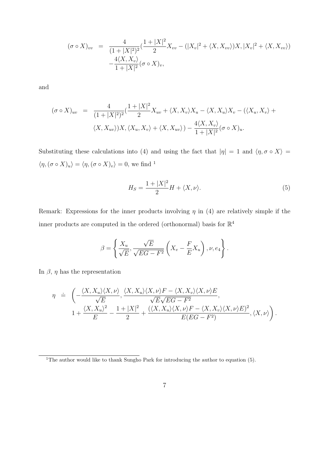$$
(\sigma \circ X)_{vv} = \frac{4}{(1+|X|^2)^2} \left(\frac{1+|X|^2}{2} X_{vv} - (|X_v|^2 + \langle X, X_{vv} \rangle) X, |X_v|^2 + \langle X, X_{vv} \rangle\right)
$$

$$
-\frac{4\langle X, X_v \rangle}{1+|X|^2} (\sigma \circ X)_v,
$$

and

$$
(\sigma \circ X)_{uv} = \frac{4}{(1+|X|^2)^2} \left(\frac{1+|X|^2}{2} X_{uv} + \langle X, X_v \rangle X_u - \langle X, X_u \rangle X_v - (\langle X_u, X_v \rangle) + \langle X, X_{uv} \rangle\right) X, \langle X_u, X_v \rangle + \langle X, X_{uv} \rangle) - \frac{4 \langle X, X_v \rangle}{1+|X|^2} (\sigma \circ X)_u.
$$

Substituting these calculations into (4) and using the fact that  $|\eta| = 1$  and  $\langle \eta, \sigma \circ X \rangle =$  $\langle \eta, (\sigma \circ X)_u \rangle = \langle \eta, (\sigma \circ X)_v \rangle = 0$ , we find <sup>1</sup>

$$
H_S = \frac{1+|X|^2}{2}H + \langle X, \nu \rangle. \tag{5}
$$

Remark: Expressions for the inner products involving  $\eta$  in (4) are relatively simple if the inner products are computed in the ordered (orthonormal) basis for  $\mathbb{R}^4$ 

$$
\beta = \left\{ \frac{X_u}{\sqrt{E}}, \frac{\sqrt{E}}{\sqrt{EG - F^2}} \left( X_v - \frac{F}{E} X_u \right), \nu, e_4 \right\}.
$$

In  $\beta$ ,  $\eta$  has the representation

$$
\eta = \left( -\frac{\langle X, X_u \rangle \langle X, \nu \rangle}{\sqrt{E}}, \frac{\langle X, X_u \rangle \langle X, \nu \rangle F - \langle X, X_v \rangle \langle X, \nu \rangle E}{\sqrt{E}\sqrt{EG - F^2}}, \frac{\langle X, X_u \rangle \langle X, \nu \rangle F - \langle X, X_v \rangle \langle X, \nu \rangle F}{1 + \frac{\langle X, X_u \rangle^2}{E} - \frac{1 + |X|^2}{2} + \frac{(\langle X, X_u \rangle \langle X, \nu \rangle F - \langle X, X_v \rangle \langle X, \nu \rangle E)^2}{E(EG - F^2)}, \langle X, \nu \rangle \right).
$$

<sup>&</sup>lt;sup>1</sup>The author would like to thank Sungho Park for introducing the author to equation  $(5)$ .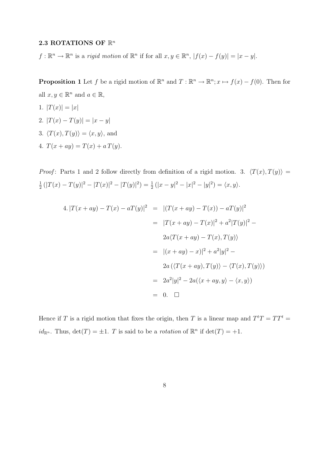### 2.3 ROTATIONS OF  $\mathbb{R}^n$

 $f: \mathbb{R}^n \to \mathbb{R}^n$  is a rigid motion of  $\mathbb{R}^n$  if for all  $x, y \in \mathbb{R}^n$ ,  $|f(x) - f(y)| = |x - y|$ .

**Proposition 1** Let f be a rigid motion of  $\mathbb{R}^n$  and  $T : \mathbb{R}^n \to \mathbb{R}^n$ ;  $x \mapsto f(x) - f(0)$ . Then for all  $x, y \in \mathbb{R}^n$  and  $a \in \mathbb{R}$ ,

- 1.  $|T(x)| = |x|$
- 2.  $|T(x) T(y)| = |x y|$
- 3.  $\langle T(x), T(y) \rangle = \langle x, y \rangle$ , and
- 4.  $T(x + ay) = T(x) + a T(y)$ .

*Proof*: Parts 1 and 2 follow directly from definition of a rigid motion. 3.  $\langle T(x), T(y) \rangle =$ 1  $\frac{1}{2} (|T(x) - T(y)|^2 - |T(x)|^2 - |T(y)|^2) = \frac{1}{2} (|x - y|^2 - |x|^2 - |y|^2) = \langle x, y \rangle.$ 

$$
4. |T(x + ay) - T(x) - aT(y)|^2 = |(T(x + ay) - T(x)) - aT(y)|^2
$$
  
\n
$$
= |T(x + ay) - T(x)|^2 + a^2 |T(y)|^2 - 2a\langle T(x + ay) - T(x), T(y) \rangle
$$
  
\n
$$
= |(x + ay) - x)|^2 + a^2 |y|^2 - 2a(\langle T(x + ay), T(y) \rangle - \langle T(x), T(y) \rangle)
$$
  
\n
$$
= 2a^2 |y|^2 - 2a(\langle x + ay, y \rangle - \langle x, y \rangle)
$$
  
\n
$$
= 0. \quad \Box
$$

Hence if T is a rigid motion that fixes the origin, then T is a linear map and  $T<sup>t</sup>T = TT<sup>t</sup> =$  $id_{\mathbb{R}^n}$ . Thus,  $\det(T) = \pm 1$ . T is said to be a *rotation* of  $\mathbb{R}^n$  if  $\det(T) = +1$ .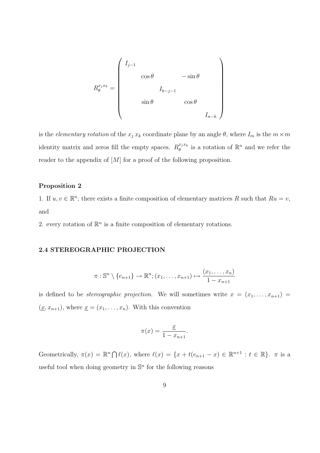$$
R_{\theta}^{x_j x_k} = \begin{pmatrix} I_{j-1} & & & & \\ & \cos \theta & & -\sin \theta & \\ & & I_{k-j-1} & & \\ & & \sin \theta & & \cos \theta & \\ & & & & I_{n-k} \end{pmatrix}
$$

is the *elementary rotation* of the  $x_j x_k$  coordinate plane by an angle  $\theta$ , where  $I_m$  is the  $m \times m$ identity matrix and zeros fill the empty spaces.  $R_{\theta}^{x_j x_k}$  $_{\theta}^{x_j x_k}$  is a rotation of  $\mathbb{R}^n$  and we refer the reader to the appendix of  $[M]$  for a proof of the following proposition.

### Proposition 2

1. If  $u, v \in \mathbb{R}^n$ , there exists a finite composition of elementary matrices R such that  $Ru = v$ , and

2. every rotation of  $\mathbb{R}^n$  is a finite composition of elementary rotations.

### 2.4 STEREOGRAPHIC PROJECTION

$$
\pi: \mathbb{S}^n \setminus \{e_{n+1}\} \to \mathbb{R}^n; (x_1, \ldots, x_{n+1}) \mapsto \frac{(x_1, \ldots, x_n)}{1 - x_{n+1}}
$$

is defined to be *stereographic projection*. We will sometimes write  $x = (x_1, \ldots, x_{n+1}) =$  $(\underline{x}, x_{n+1}),$  where  $\underline{x} = (x_1, \ldots, x_n).$  With this convention

$$
\pi(x) = \frac{x}{1 - x_{n+1}}.
$$

Geometrically,  $\pi(x) = \mathbb{R}^n \cap \ell(x)$ , where  $\ell(x) = \{x + t(e_{n+1} - x) \in \mathbb{R}^{n+1} : t \in \mathbb{R}\}$ .  $\pi$  is a useful tool when doing geometry in  $\mathbb{S}^n$  for the following reasons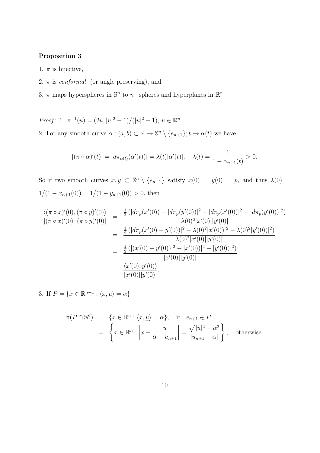### Proposition 3

- 1.  $\pi$  is bijective,
- 2.  $\pi$  is *conformal* (or angle preserving), and
- 3.  $\pi$  maps hyperspheres in  $\mathbb{S}^n$  to *n*-spheres and hyperplanes in  $\mathbb{R}^n$ .
- Proof: 1.  $\pi^{-1}(u) = (2u, |u|^2 1)/(|u|^2 + 1), u \in \mathbb{R}^n$ . 2. For any smooth curve  $\alpha : (a, b) \subset \mathbb{R} \to \mathbb{S}^n \setminus \{e_{n+1}\}; t \mapsto \alpha(t)$  we have

$$
|(\pi \circ \alpha)'(t)| = |d\pi_{\alpha(t)}(\alpha'(t))| = \lambda(t)|\alpha'(t)|, \quad \lambda(t) = \frac{1}{1 - \alpha_{n+1}(t)} > 0.
$$

So if two smooth curves  $x, y \text{ }\subset \mathbb{S}^n \setminus \{e_{n+1}\}\$  satisfy  $x(0) = y(0) = p$ , and thus  $\lambda(0) =$  $1/(1 - x_{n+1}(0)) = 1/(1 - y_{n+1}(0)) > 0$ , then

$$
\frac{\langle (\pi \circ x)'(0), (\pi \circ y)'(0) \rangle}{|(\pi \circ x)'(0)||(\pi \circ y)'(0)|} = \frac{\frac{1}{2} (|d\pi_p(x'(0)) - |d\pi_p(y'(0))|^2 - |d\pi_p(x'(0))|^2 - |d\pi_p(y'(0))|^2)}{\lambda(0)^2 |x'(0)||y'(0)|}
$$
  
\n
$$
= \frac{\frac{1}{2} (|d\pi_p(x'(0) - y'(0))|^2 - \lambda(0)^2 |x'(0)|^2 - \lambda(0)^2 |y'(0)|^2)}{\lambda(0)^2 |x'(0)||y'(0)|}
$$
  
\n
$$
= \frac{\frac{1}{2} (|x'(0) - y'(0))|^2 - |x'(0)|^2 - |y'(0)|^2)}{|x'(0)||y'(0)|}
$$
  
\n
$$
= \frac{\langle x'(0), y'(0) \rangle}{|x'(0)||y'(0)|}.
$$

3. If  $P = \{x \in \mathbb{R}^{n+1} : \langle x, u \rangle = \alpha\}$ 

$$
\pi(P \cap \mathbb{S}^n) = \{x \in \mathbb{R}^n : \langle x, \underline{u} \rangle = \alpha\}, \quad \text{if} \quad e_{n+1} \in P
$$

$$
= \left\{x \in \mathbb{R}^n : \left|x - \frac{\underline{u}}{\alpha - u_{n+1}}\right| = \frac{\sqrt{|u|^2 - \alpha^2}}{|u_{n+1} - \alpha|}\right\}, \quad \text{otherwise.}
$$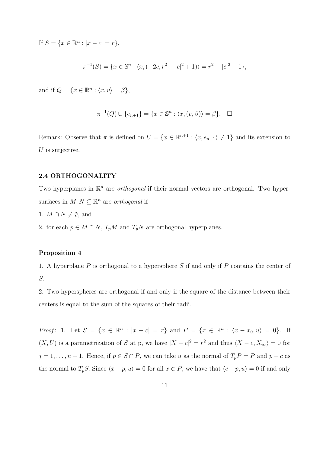If  $S = \{x \in \mathbb{R}^n : |x - c| = r\},\$ 

$$
\pi^{-1}(S) = \{ x \in \mathbb{S}^n : \langle x, (-2c, r^2 - |c|^2 + 1) \rangle = r^2 - |c|^2 - 1 \},\
$$

and if  $Q = \{x \in \mathbb{R}^n : \langle x, v \rangle = \beta\},\$ 

$$
\pi^{-1}(Q) \cup \{e_{n+1}\} = \{x \in \mathbb{S}^n : \langle x, (v, \beta) \rangle = \beta\}.
$$

Remark: Observe that  $\pi$  is defined on  $U = \{x \in \mathbb{R}^{n+1} : \langle x, e_{n+1} \rangle \neq 1\}$  and its extension to  $U$  is surjective.

#### 2.4 ORTHOGONALITY

Two hyperplanes in  $\mathbb{R}^n$  are *orthogonal* if their normal vectors are orthogonal. Two hypersurfaces in  $M, N \subseteq \mathbb{R}^n$  are *orthogonal* if

- 1.  $M \cap N \neq \emptyset$ , and
- 2. for each  $p \in M \cap N$ ,  $T_pM$  and  $T_pN$  are orthogonal hyperplanes.

#### Proposition 4

1. A hyperplane P is orthogonal to a hypersphere S if and only if P contains the center of S.

2. Two hyperspheres are orthogonal if and only if the square of the distance between their centers is equal to the sum of the squares of their radii.

*Proof*: 1. Let  $S = \{x \in \mathbb{R}^n : |x - c| = r\}$  and  $P = \{x \in \mathbb{R}^n : \langle x - x_0, u \rangle = 0\}$ . If  $(X, U)$  is a parametrization of S at p, we have  $|X - c|^2 = r^2$  and thus  $\langle X - c, X_{u_j} \rangle = 0$  for  $j = 1, \ldots, n - 1$ . Hence, if  $p \in S \cap P$ , we can take u as the normal of  $T_p P = P$  and  $p - c$  as the normal to  $T_pS$ . Since  $\langle x - p, u \rangle = 0$  for all  $x \in P$ , we have that  $\langle c - p, u \rangle = 0$  if and only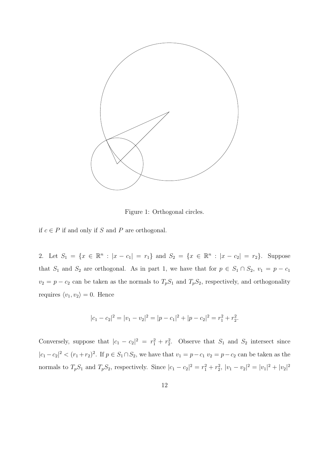

Figure 1: Orthogonal circles.

if  $c ∈ P$  if and only if S and P are orthogonal.

2. Let  $S_1 = \{x \in \mathbb{R}^n : |x - c_1| = r_1\}$  and  $S_2 = \{x \in \mathbb{R}^n : |x - c_2| = r_2\}$ . Suppose that  $S_1$  and  $S_2$  are orthogonal. As in part 1, we have that for  $p \in S_1 \cap S_2$ ,  $v_1 = p - c_1$  $v_2 = p - c_2$  can be taken as the normals to  $T_pS_1$  and  $T_pS_2$ , respectively, and orthogonality requires  $\langle v_1, v_2 \rangle = 0$ . Hence

$$
|c_1 - c_2|^2 = |v_1 - v_2|^2 = |p - c_1|^2 + |p - c_2|^2 = r_1^2 + r_2^2.
$$

Conversely, suppose that  $|c_1 - c_2|^2 = r_1^2 + r_2^2$ . Observe that  $S_1$  and  $S_2$  intersect since  $|c_1 - c_2|^2 < (r_1 + r_2)^2$ . If  $p \in S_1 \cap S_2$ , we have that  $v_1 = p - c_1$   $v_2 = p - c_2$  can be taken as the normals to  $T_pS_1$  and  $T_pS_2$ , respectively. Since  $|c_1 - c_2|^2 = r_1^2 + r_2^2$ ,  $|v_1 - v_2|^2 = |v_1|^2 + |v_2|^2$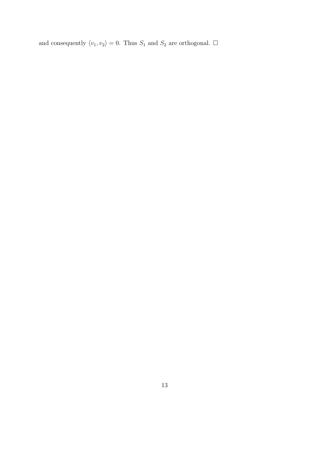and consequently  $\langle v_1, v_2 \rangle = 0$ . Thus  $S_1$  and  $S_2$  are orthogonal.  $\square$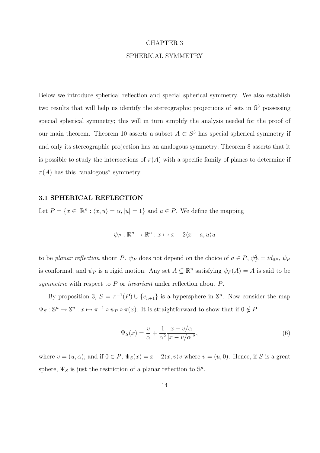#### CHAPTER 3

#### SPHERICAL SYMMETRY

Below we introduce spherical reflection and special spherical symmetry. We also establish two results that will help us identify the stereographic projections of sets in  $\mathbb{S}^3$  possessing special spherical symmetry; this will in turn simplify the analysis needed for the proof of our main theorem. Theorem 10 asserts a subset  $A \subset S^3$  has special spherical symmetry if and only its stereographic projection has an analogous symmetry; Theorem 8 asserts that it is possible to study the intersections of  $\pi(A)$  with a specific family of planes to determine if  $\pi(A)$  has this "analogous" symmetry.

#### 3.1 SPHERICAL REFLECTION

Let  $P = \{x \in \mathbb{R}^n : \langle x, u \rangle = \alpha, |u| = 1\}$  and  $a \in P$ . We define the mapping

$$
\psi_P : \mathbb{R}^n \to \mathbb{R}^n : x \mapsto x - 2\langle x - a, u \rangle u
$$

to be *planar reflection* about P.  $\psi_P$  does not depend on the choice of  $a \in P$ ,  $\psi_P^2 = id_{\mathbb{R}^n}$ ,  $\psi_P$ is conformal, and  $\psi_P$  is a rigid motion. Any set  $A \subseteq \mathbb{R}^n$  satisfying  $\psi_P(A) = A$  is said to be symmetric with respect to P or invariant under reflection about P.

By proposition 3,  $S = \pi^{-1}(P) \cup \{e_{n+1}\}\$ is a hypersphere in  $\mathbb{S}^n$ . Now consider the map  $\Psi_S : \mathbb{S}^n \to \mathbb{S}^n : x \mapsto \pi^{-1} \circ \psi_P \circ \pi(x)$ . It is straightforward to show that if  $0 \notin P$ 

$$
\Psi_S(x) = \frac{v}{\alpha} + \frac{1}{\alpha^2} \frac{x - v/\alpha}{|x - v/\alpha|^2},\tag{6}
$$

where  $v = (u, \alpha)$ ; and if  $0 \in P$ ,  $\Psi_S(x) = x - 2\langle x, v \rangle v$  where  $v = (u, 0)$ . Hence, if S is a great sphere,  $\Psi_S$  is just the restriction of a planar reflection to  $\mathbb{S}^n$ .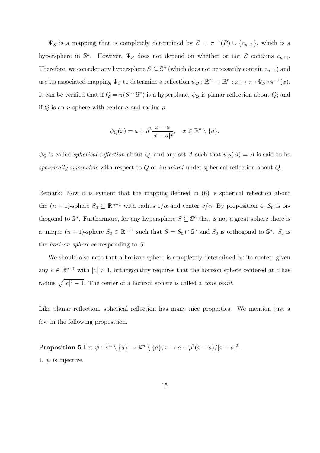$\Psi_S$  is a mapping that is completely determined by  $S = \pi^{-1}(P) \cup \{e_{n+1}\}\$ , which is a hypersphere in  $\mathbb{S}^n$ . However,  $\Psi_S$  does not depend on whether or not S contains  $e_{n+1}$ . Therefore, we consider any hypersphere  $S \subseteq \mathbb{S}^n$  (which does not necessarily contain  $e_{n+1}$ ) and use its associated mapping  $\Psi_S$  to determine a reflection  $\psi_Q : \mathbb{R}^n \to \mathbb{R}^n : x \mapsto \pi \circ \Psi_S \circ \pi^{-1}(x)$ . It can be verified that if  $Q = \pi(S \cap \mathbb{S}^n)$  is a hyperplane,  $\psi_Q$  is planar reflection about  $Q$ ; and if Q is an *n*-sphere with center a and radius  $\rho$ 

$$
\psi_Q(x) = a + \rho^2 \frac{x - a}{|x - a|^2}, \quad x \in \mathbb{R}^n \setminus \{a\}.
$$

 $\psi_Q$  is called *spherical reflection* about Q, and any set A such that  $\psi_Q(A) = A$  is said to be spherically symmetric with respect to  $Q$  or invariant under spherical reflection about  $Q$ .

Remark: Now it is evident that the mapping defined in (6) is spherical reflection about the  $(n + 1)$ -sphere  $S_0 \subseteq \mathbb{R}^{n+1}$  with radius  $1/\alpha$  and center  $v/\alpha$ . By proposition 4,  $S_0$  is orthogonal to  $\mathbb{S}^n$ . Furthermore, for any hypersphere  $S \subseteq \mathbb{S}^n$  that is not a great sphere there is a unique  $(n + 1)$ -sphere  $S_0 \in \mathbb{R}^{n+1}$  such that  $S = S_0 \cap \mathbb{S}^n$  and  $S_0$  is orthogonal to  $\mathbb{S}^n$ .  $S_0$  is the horizon sphere corresponding to S.

We should also note that a horizon sphere is completely determined by its center: given any  $c \in \mathbb{R}^{n+1}$  with  $|c| > 1$ , orthogonality requires that the horizon sphere centered at c has radius  $\sqrt{|c|^2 - 1}$ . The center of a horizon sphere is called a *cone point*.

Like planar reflection, spherical reflection has many nice properties. We mention just a few in the following proposition.

**Proposition 5** Let  $\psi : \mathbb{R}^n \setminus \{a\} \to \mathbb{R}^n \setminus \{a\}; x \mapsto a + \rho^2(x-a)/|x-a|^2$ . 1.  $\psi$  is bijective.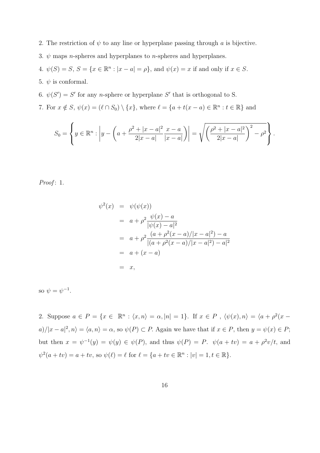- 2. The restriction of  $\psi$  to any line or hyperplane passing through a is bijective.
- 3.  $\psi$  maps *n*-spheres and hyperplanes to *n*-spheres and hyperplanes.
- 4.  $\psi(S) = S, S = \{x \in \mathbb{R}^n : |x a| = \rho\}$ , and  $\psi(x) = x$  if and only if  $x \in S$ .
- 5.  $\psi$  is conformal.
- 6.  $\psi(S') = S'$  for any *n*-sphere or hyperplane S' that is orthogonal to S.
- 7. For  $x \notin S$ ,  $\psi(x) = (\ell \cap S_0) \setminus \{x\}$ , where  $\ell = \{a + t(x a) \in \mathbb{R}^n : t \in \mathbb{R}\}\$ and

$$
S_0 = \left\{ y \in \mathbb{R}^n : \left| y - \left( a + \frac{\rho^2 + |x - a|^2}{2|x - a|} \frac{x - a}{|x - a|} \right) \right| = \sqrt{\left( \frac{\rho^2 + |x - a|^2}{2|x - a|} \right)^2 - \rho^2} \right\}.
$$

Proof:  $1$ .

$$
\psi^{2}(x) = \psi(\psi(x))
$$
\n
$$
= a + \rho^{2} \frac{\psi(x) - a}{|\psi(x) - a|^{2}}
$$
\n
$$
= a + \rho^{2} \frac{(a + \rho^{2}(x - a)/|x - a|^{2}) - a}{|(a + \rho^{2}(x - a)/|x - a|^{2}) - a|^{2}}
$$
\n
$$
= a + (x - a)
$$
\n
$$
= x,
$$

so  $\psi = \psi^{-1}$ .

2. Suppose  $a \in P = \{x \in \mathbb{R}^n : \langle x, n \rangle = \alpha, |n| = 1\}$ . If  $x \in P$ ,  $\langle \psi(x), n \rangle = \langle a + \rho^2(x - \psi(x)) \rangle$  $a)/|x-a|^2, n\rangle = \langle a, n \rangle = \alpha$ , so  $\psi(P) \subset P$ . Again we have that if  $x \in P$ , then  $y = \psi(x) \in P$ ; but then  $x = \psi^{-1}(y) = \psi(y) \in \psi(P)$ , and thus  $\psi(P) = P$ .  $\psi(a + tv) = a + \rho^2 v/t$ , and  $\psi^2(a + tv) = a + tv$ , so  $\psi(\ell) = \ell$  for  $\ell = \{a + tv \in \mathbb{R}^n : |v| = 1, t \in \mathbb{R}\}.$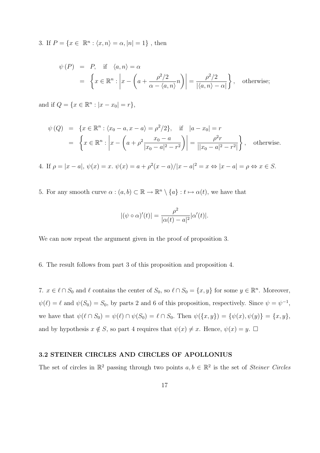3. If  $P = \{x \in \mathbb{R}^n : \langle x, n \rangle = \alpha, |n| = 1\}$ , then

$$
\psi(P) = P, \text{ if } \langle a, n \rangle = \alpha
$$
  
=  $\left\{ x \in \mathbb{R}^n : \left| x - \left( a + \frac{\rho^2/2}{\alpha - \langle a, n \rangle} n \right) \right| = \frac{\rho^2/2}{|\langle a, n \rangle - \alpha|} \right\}, \text{ otherwise;}$ 

and if  $Q = \{x \in \mathbb{R}^n : |x - x_0| = r\},\$ 

$$
\psi(Q) = \{x \in \mathbb{R}^n : \langle x_0 - a, x - a \rangle = \rho^2/2\}, \quad \text{if} \quad |a - x_0| = r
$$
  
= 
$$
\left\{x \in \mathbb{R}^n : \left|x - \left(a + \rho^2 \frac{x_0 - a}{|x_0 - a|^2 - r^2}\right)\right| = \frac{\rho^2 r}{||x_0 - a|^2 - r^2|}\right\}, \quad \text{otherwise.}
$$

4. If  $\rho = |x - a|$ ,  $\psi(x) = x$ .  $\psi(x) = a + \rho^2(x - a)/|x - a|^2 = x \Leftrightarrow |x - a| = \rho \Leftrightarrow x \in S$ .

5. For any smooth curve  $\alpha : (a, b) \subset \mathbb{R} \to \mathbb{R}^n \setminus \{a\} : t \mapsto \alpha(t)$ , we have that

$$
|(\psi \circ \alpha)'(t)| = \frac{\rho^2}{|\alpha(t) - a|^2} |\alpha'(t)|.
$$

We can now repeat the argument given in the proof of proposition 3.

6. The result follows from part 3 of this proposition and proposition 4.

7.  $x \in \ell \cap S_0$  and  $\ell$  contains the center of  $S_0$ , so  $\ell \cap S_0 = \{x, y\}$  for some  $y \in \mathbb{R}^n$ . Moreover,  $\psi(\ell) = \ell$  and  $\psi(S_0) = S_0$ , by parts 2 and 6 of this proposition, respectively. Since  $\psi = \psi^{-1}$ , we have that  $\psi(\ell \cap S_0) = \psi(\ell) \cap \psi(S_0) = \ell \cap S_0$ . Then  $\psi({x, y}) = {\psi(x), \psi(y)} = {x, y}$ , and by hypothesis  $x \notin S$ , so part 4 requires that  $\psi(x) \neq x$ . Hence,  $\psi(x) = y$ .  $\Box$ 

#### 3.2 STEINER CIRCLES AND CIRCLES OF APOLLONIUS

The set of circles in  $\mathbb{R}^2$  passing through two points  $a, b \in \mathbb{R}^2$  is the set of *Steiner Circles*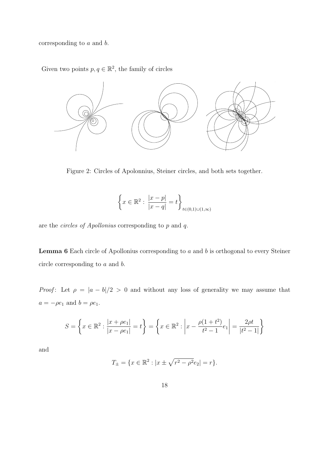corresponding to a and b.

Given two points  $p, q \in \mathbb{R}^2$ , the family of circles



Figure 2: Circles of Apolonnius, Steiner circles, and both sets together.

$$
\left\{ x \in \mathbb{R}^2 : \frac{|x - p|}{|x - q|} = t \right\}_{t \in (0,1) \cup (1,\infty)}
$$

are the circles of Apollonius corresponding to p and q.

**Lemma 6** Each circle of Apollonius corresponding to  $a$  and  $b$  is orthogonal to every Steiner circle corresponding to a and b.

*Proof*: Let  $\rho = |a - b|/2 > 0$  and without any loss of generality we may assume that  $a = -\rho e_1$  and  $b = \rho e_1$ .

$$
S = \left\{ x \in \mathbb{R}^2 : \frac{|x + \rho e_1|}{|x - \rho e_1|} = t \right\} = \left\{ x \in \mathbb{R}^2 : \left| x - \frac{\rho(1 + t^2)}{t^2 - 1} e_1 \right| = \frac{2\rho t}{|t^2 - 1|} \right\}
$$

and

$$
T_{\pm} = \{ x \in \mathbb{R}^2 : |x \pm \sqrt{r^2 - \rho^2} e_2| = r \}.
$$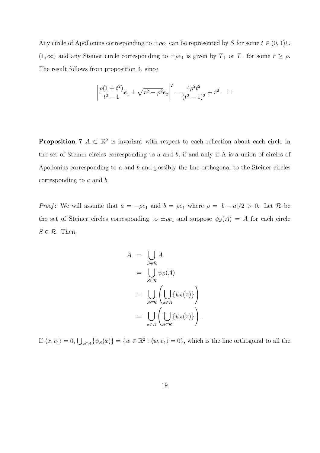Any circle of Apollonius corresponding to  $\pm \rho e_1$  can be represented by S for some  $t \in (0,1) \cup$ (1, ∞) and any Steiner circle corresponding to  $\pm \rho e_1$  is given by  $T_+$  or  $T_-\$  for some  $r \ge \rho$ . The result follows from proposition 4, since

$$
\left| \frac{\rho(1+t^2)}{t^2-1} e_1 \pm \sqrt{r^2 - \rho^2} e_2 \right|^2 = \frac{4\rho^2 t^2}{(t^2-1)^2} + r^2. \quad \Box
$$

**Proposition 7**  $A \subset \mathbb{R}^2$  is invariant with respect to each reflection about each circle in the set of Steiner circles corresponding to a and b, if and only if A is a union of circles of Apollonius corresponding to a and b and possibly the line orthogonal to the Steiner circles corresponding to a and b.

*Proof*: We will assume that  $a = -\rho e_1$  and  $b = \rho e_1$  where  $\rho = |b - a|/2 > 0$ . Let R be the set of Steiner circles corresponding to  $\pm \rho e_1$  and suppose  $\psi_S(A) = A$  for each circle  $S \in \mathcal{R}$ . Then,

$$
A = \bigcup_{S \in \mathcal{R}} A
$$
  
= 
$$
\bigcup_{S \in \mathcal{R}} \psi_S(A)
$$
  
= 
$$
\bigcup_{S \in \mathcal{R}} \left( \bigcup_{x \in A} \{\psi_S(x)\} \right)
$$
  
= 
$$
\bigcup_{x \in A} \left( \bigcup_{S \in \mathcal{R}} \{\psi_S(x)\} \right).
$$

If  $\langle x, e_1 \rangle = 0$ ,  $\bigcup_{x \in A} {\psi_S(x)} = \{w \in \mathbb{R}^2 : \langle w, e_1 \rangle = 0\}$ , which is the line orthogonal to all the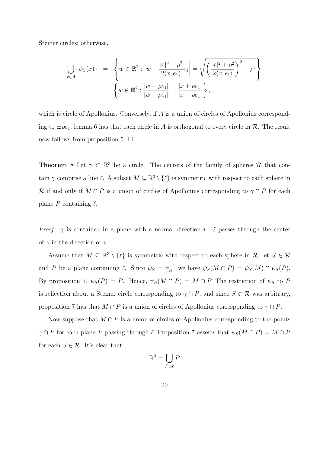Steiner circles; otherwise,

$$
\bigcup_{x \in A} \{ \psi_S(x) \} = \left\{ w \in \mathbb{R}^2 : \left| w - \frac{|x|^2 + \rho^2}{2\langle x, e_1 \rangle} e_1 \right| = \sqrt{\left( \frac{|x|^2 + \rho^2}{2\langle x, e_1 \rangle} \right)^2 - \rho^2} \right\}
$$

$$
= \left\{ w \in \mathbb{R}^2 : \frac{|w + \rho e_1|}{|w - \rho e_1|} = \frac{|x + \rho e_1|}{|x - \rho e_1|} \right\},
$$

which is circle of Apollonius. Conversely, if A is a union of circles of Apollonius corresponding to  $\pm \rho e_1$ , lemma 6 has that each circle in A is orthogonal to every circle in R. The result now follows from proposition 5.  $\Box$ 

**Theorem 8** Let  $\gamma \subset \mathbb{R}^3$  be a circle. The centers of the family of spheres R that contain  $\gamma$  comprise a line  $\ell$ . A subset  $M \subseteq \mathbb{R}^3 \setminus \{ \ell \}$  is symmetric with respect to each sphere in R if and only if  $M \cap P$  is a union of circles of Apollonius corresponding to  $\gamma \cap P$  for each plane P containing  $\ell$ .

*Proof:*  $\gamma$  is contained in a plane with a normal direction v.  $\ell$  passes through the center of  $\gamma$  in the direction of v.

Assume that  $M \subseteq \mathbb{R}^3 \setminus \{\ell\}$  is symmetric with respect to each sphere in  $\mathcal{R}$ , let  $S \in \mathcal{R}$ and P be a plane containing  $\ell$ . Since  $\psi_S = \psi_S^{-1}$  we have  $\psi_S(M \cap P) = \psi_S(M) \cap \psi_S(P)$ . By proposition 7,  $\psi_S(P) = P$ . Hence,  $\psi_S(M \cap P) = M \cap P$ . The restriction of  $\psi_S$  to P is reflection about a Steiner circle corresponding to  $\gamma \cap P$ , and since  $S \in \mathcal{R}$  was arbitrary, proposition 7 has that  $M \cap P$  is a union of circles of Apollonius corresponding to  $\gamma \cap P$ .

Now suppose that  $M \cap P$  is a union of circles of Apollonius corresponding to the points  $\gamma \cap P$  for each plane P passing through  $\ell$ . Proposition 7 asserts that  $\psi_S(M \cap P) = M \cap P$ for each  $S \in \mathcal{R}$ . It's clear that

$$
\mathbb{R}^3 = \bigcup_{P \supset \ell} P
$$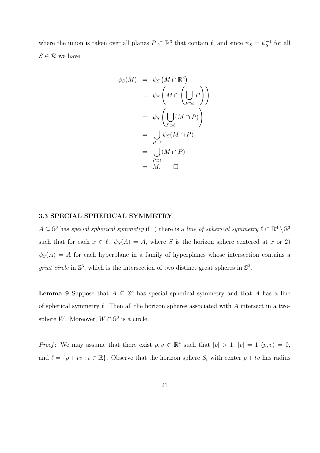where the union is taken over all planes  $P \subset \mathbb{R}^3$  that contain  $\ell$ , and since  $\psi_S = \psi_S^{-1}$  $s^{-1}$  for all  $S \in \mathcal{R}$  we have

$$
\psi_S(M) = \psi_S(M \cap \mathbb{R}^3)
$$
  
=  $\psi_S\left(M \cap \left(\bigcup_{P \supseteq \ell} P\right)\right)$   
=  $\psi_S\left(\bigcup_{P \supseteq \ell} (M \cap P)\right)$   
=  $\bigcup_{P \supseteq \ell} \psi_S(M \cap P)$   
=  $\bigcup_{P \supseteq \ell} (M \cap P)$   
=  $M.$   $\square$ 

### 3.3 SPECIAL SPHERICAL SYMMETRY

 $A \subseteq \mathbb{S}^3$  has special spherical symmetry if 1) there is a line of spherical symmetry  $\ell \subset \mathbb{R}^4 \setminus \mathbb{S}^3$ such that for each  $x \in \ell$ ,  $\psi_S(A) = A$ , where S is the horizon sphere centered at x or 2)  $\psi_{S}(A) = A$  for each hyperplane in a family of hyperplanes whose intersection contains a great circle in  $\mathbb{S}^3$ , which is the intersection of two distinct great spheres in  $\mathbb{S}^3$ .

**Lemma 9** Suppose that  $A \subseteq \mathbb{S}^3$  has special spherical symmetry and that A has a line of spherical symmetry  $\ell$ . Then all the horizon spheres associated with A intersect in a twosphere W. Moreover,  $W \cap \mathbb{S}^3$  is a circle.

*Proof*: We may assume that there exist  $p, v \in \mathbb{R}^4$  such that  $|p| > 1$ ,  $|v| = 1$   $\langle p, v \rangle = 0$ , and  $\ell = \{p + tv : t \in \mathbb{R}\}.$  Observe that the horizon sphere  $S_t$  with center  $p + tv$  has radius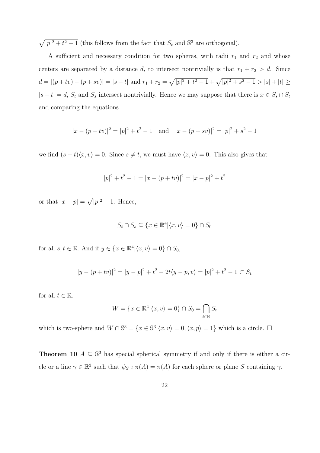p  $\sqrt{p^2+t^2-1}$  (this follows from the fact that  $S_t$  and  $\mathbb{S}^3$  are orthogonal).

A sufficient and necessary condition for two spheres, with radii  $r_1$  and  $r_2$  and whose centers are separated by a distance d, to intersect nontrivially is that  $r_1 + r_2 > d$ . Since  $d = |(p + tv) - (p + sv)| = |s - t|$  and  $r_1 + r_2 =$  $\overline{p}$  $|p|^2 + t^2 - 1 + \sqrt{|p|^2 + s^2 - 1} > |s| + |t| \ge$  $|s-t|=d$ ,  $S_t$  and  $S_s$  intersect nontrivially. Hence we may suppose that there is  $x \in S_s \cap S_t$ and comparing the equations

$$
|x - (p + tv)|^2 = |p|^2 + t^2 - 1
$$
 and  $|x - (p + sv)|^2 = |p|^2 + s^2 - 1$ 

we find  $(s - t)\langle x, v \rangle = 0$ . Since  $s \neq t$ , we must have  $\langle x, v \rangle = 0$ . This also gives that

$$
|p|^2 + t^2 - 1 = |x - (p + tv)|^2 = |x - p|^2 + t^2
$$

or that  $|x-p|=$ p  $|p|^2-1$ . Hence,

$$
S_t \cap S_s \subseteq \{x \in \mathbb{R}^4 | \langle x, v \rangle = 0\} \cap S_0
$$

for all  $s, t \in \mathbb{R}$ . And if  $y \in \{x \in \mathbb{R}^4 | \langle x, v \rangle = 0\} \cap S_0$ ,

$$
|y - (p + tv)|^2 = |y - p|^2 + t^2 - 2t\langle y - p, v \rangle = |p|^2 + t^2 - 1 \subset S_t
$$

for all  $t \in \mathbb{R}$ .

$$
W = \{x \in \mathbb{R}^4 | \langle x, v \rangle = 0\} \cap S_0 = \bigcap_{t \in \mathbb{R}} S_t
$$

which is two-sphere and  $W \cap \mathbb{S}^3 = \{x \in \mathbb{S}^3 | \langle x, v \rangle = 0, \langle x, p \rangle = 1\}$  which is a circle.  $\Box$ 

**Theorem 10**  $A \subseteq \mathbb{S}^3$  has special spherical symmetry if and only if there is either a circle or a line  $\gamma \in \mathbb{R}^3$  such that  $\psi_S \circ \pi(A) = \pi(A)$  for each sphere or plane S containing  $\gamma$ .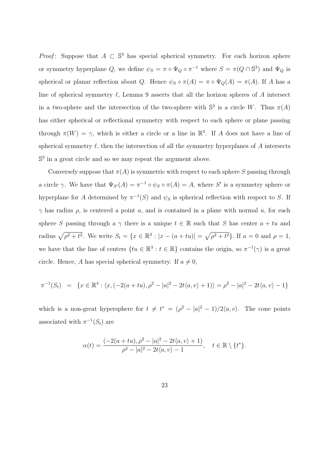*Proof*: Suppose that  $A \subset \mathbb{S}^3$  has special spherical symmetry. For each horizon sphere or symmetry hyperplane Q, we define  $\psi_S = \pi \circ \Psi_Q \circ \pi^{-1}$  where  $S = \pi(Q \cap \mathbb{S}^3)$  and  $\Psi_Q$  is spherical or planar reflection about Q. Hence  $\psi_S \circ \pi(A) = \pi \circ \Psi_Q(A) = \pi(A)$ . If A has a line of spherical symmetry  $\ell$ , Lemma 9 asserts that all the horizon spheres of A intersect in a two-sphere and the intersection of the two-sphere with  $\mathbb{S}^3$  is a circle W. Thus  $\pi(A)$ has either spherical or reflectional symmetry with respect to each sphere or plane passing through  $\pi(W) = \gamma$ , which is either a circle or a line in  $\mathbb{R}^3$ . If A does not have a line of spherical symmetry  $\ell$ , then the intersection of all the symmetry hyperplanes of A intersects  $\mathbb{S}^3$  in a great circle and so we may repeat the argument above.

Conversely suppose that  $\pi(A)$  is symmetric with respect to each sphere S passing through a circle  $\gamma$ . We have that  $\Psi_{S'}(A) = \pi^{-1} \circ \psi_S \circ \pi(A) = A$ , where S' is a symmetry sphere or hyperplane for A determined by  $\pi^{-1}(S)$  and  $\psi_S$  is spherical reflection with respect to S. If  $\gamma$  has radius  $\rho$ , is centered a point a, and is contained in a plane with normal u, for each sphere S passing through a  $\gamma$  there is a unique  $t \in \mathbb{R}$  such that S has center  $a + tu$  and radius  $\sqrt{\rho^2 + t^2}$ . We write  $S_t = \{x \in \mathbb{R}^3 : |x - (a + tu)| =$  $\overline{p}$  $\rho^2 + t^2$ . If  $a = 0$  and  $\rho = 1$ , we have that the line of centers  $\{tu \in \mathbb{R}^3 : t \in \mathbb{R}\}$  contains the origin, so  $\pi^{-1}(\gamma)$  is a great circle. Hence, A has special spherical symmetry. If  $a \neq 0$ ,

$$
\pi^{-1}(S_t) = \{ x \in \mathbb{R}^4 : \langle x, (-2(a+tu), \rho^2 - |a|^2 - 2t\langle a, v \rangle + 1) \rangle = \rho^2 - |a|^2 - 2t\langle a, v \rangle - 1 \}
$$

which is a non-great hypersphere for  $t \neq t^* = (\rho^2 - |a|^2 - 1)/2\langle a, v \rangle$ . The cone points associated with  $\pi^{-1}(S_t)$  are

$$
\alpha(t) = \frac{(-2(a+tu), \rho^2 - |a|^2 - 2t\langle a, v \rangle + 1)}{\rho^2 - |a|^2 - 2t\langle a, v \rangle - 1}, \quad t \in \mathbb{R} \setminus \{t^*\}.
$$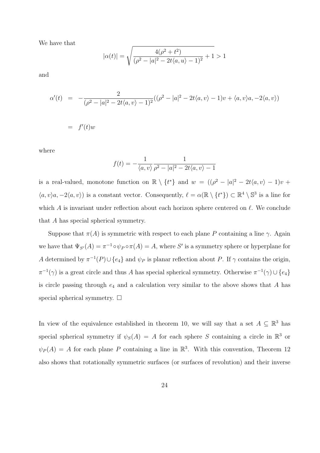We have that

$$
|\alpha(t)| = \sqrt{\frac{4(\rho^2 + t^2)}{(\rho^2 - |a|^2 - 2t\langle a, u \rangle - 1)^2} + 1} > 1
$$

and

$$
\alpha'(t) = -\frac{2}{(\rho^2 - |a|^2 - 2t\langle a, v \rangle - 1)^2}((\rho^2 - |a|^2 - 2t\langle a, v \rangle - 1)v + \langle a, v \rangle a, -2\langle a, v \rangle)
$$
  
=  $f'(t)w$ 

where

$$
f(t) = -\frac{1}{\langle a, v \rangle} \frac{1}{\rho^2 - |a|^2 - 2t \langle a, v \rangle - 1}
$$

is a real-valued, monotone function on  $\mathbb{R} \setminus \{t^*\}$  and  $w = ((\rho^2 - |a|^2 - 2t\langle a, v \rangle - 1)v +$  $\langle a, v \rangle a, -2\langle a, v \rangle$  is a constant vector. Consequently,  $\ell = \alpha(\mathbb{R} \setminus \{t^*\}) \subset \mathbb{R}^4 \setminus \mathbb{S}^3$  is a line for which A is invariant under reflection about each horizon sphere centered on  $\ell$ . We conclude that A has special spherical symmetry.

Suppose that  $\pi(A)$  is symmetric with respect to each plane P containing a line  $\gamma$ . Again we have that  $\Psi_{S'}(A) = \pi^{-1} \circ \psi_P \circ \pi(A) = A$ , where S' is a symmetry sphere or hyperplane for A determined by  $\pi^{-1}(P) \cup \{e_4\}$  and  $\psi_P$  is planar reflection about P. If  $\gamma$  contains the origin,  $\pi^{-1}(\gamma)$  is a great circle and thus A has special spherical symmetry. Otherwise  $\pi^{-1}(\gamma) \cup \{e_4\}$ is circle passing through  $e_4$  and a calculation very similar to the above shows that A has special spherical symmetry.  $\Box$ 

In view of the equivalence established in theorem 10, we will say that a set  $A \subseteq \mathbb{R}^3$  has special spherical symmetry if  $\psi_S(A) = A$  for each sphere S containing a circle in  $\mathbb{R}^3$  or  $\psi_P(A) = A$  for each plane P containing a line in  $\mathbb{R}^3$ . With this convention, Theorem 12 also shows that rotationally symmetric surfaces (or surfaces of revolution) and their inverse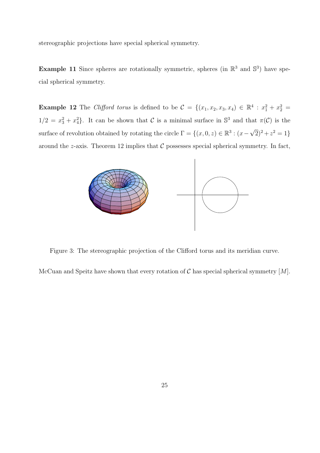stereographic projections have special spherical symmetry.

**Example 11** Since spheres are rotationally symmetric, spheres (in  $\mathbb{R}^3$  and  $\mathbb{S}^3$ ) have special spherical symmetry.

**Example 12** The *Clifford torus* is defined to be  $C = \{(x_1, x_2, x_3, x_4) \in \mathbb{R}^4 : x_1^2 + x_2^2 =$  $1/2 = x_3^2 + x_4^2$ . It can be shown that C is a minimal surface in  $\mathbb{S}^3$  and that  $\pi(\mathcal{C})$  is the surface of revolution obtained by rotating the circle  $\Gamma = \{(x, 0, z) \in \mathbb{R}^3 : (x -$ √  $\overline{2}$ )<sup>2</sup> +  $z^2 = 1$ } around the z-axis. Theorem 12 implies that  $\mathcal C$  possesses special spherical symmetry. In fact,



Figure 3: The stereographic projection of the Clifford torus and its meridian curve.

McCuan and Speitz have shown that every rotation of  $\mathcal C$  has special spherical symmetry  $[M]$ .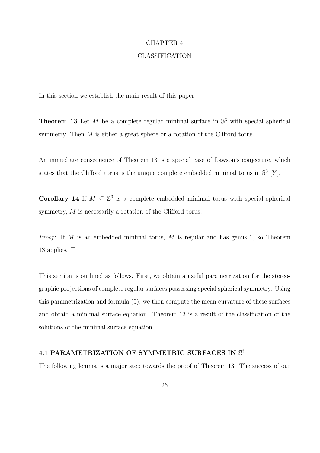#### CHAPTER 4

#### CLASSIFICATION

In this section we establish the main result of this paper

**Theorem 13** Let M be a complete regular minimal surface in  $\mathbb{S}^3$  with special spherical symmetry. Then M is either a great sphere or a rotation of the Clifford torus.

An immediate consequence of Theorem 13 is a special case of Lawson's conjecture, which states that the Clifford torus is the unique complete embedded minimal torus in  $\mathbb{S}^3$  [Y].

Corollary 14 If  $M \subseteq \mathbb{S}^3$  is a complete embedded minimal torus with special spherical symmetry, M is necessarily a rotation of the Clifford torus.

*Proof*: If M is an embedded minimal torus, M is regular and has genus 1, so Theorem 13 applies.  $\Box$ 

This section is outlined as follows. First, we obtain a useful parametrization for the stereographic projections of complete regular surfaces possessing special spherical symmetry. Using this parametrization and formula (5), we then compute the mean curvature of these surfaces and obtain a minimal surface equation. Theorem 13 is a result of the classification of the solutions of the minimal surface equation.

### 4.1 PARAMETRIZATION OF SYMMETRIC SURFACES IN  $\mathbb{S}^3$

The following lemma is a major step towards the proof of Theorem 13. The success of our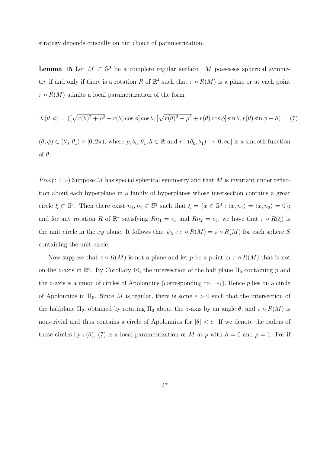strategy depends crucially on our choice of parametrization.

**Lemma 15** Let  $M \subset \mathbb{S}^3$  be a complete regular surface. M possesses spherical symmetry if and only if there is a rotation R of  $\mathbb{R}^4$  such that  $\pi \circ R(M)$  is a plane or at each point  $\pi \circ R(M)$  admits a local parametrization of the form

$$
X(\theta,\phi) = \left( \left[ \sqrt{r(\theta)^2 + \rho^2} + r(\theta) \cos \phi \right] \cos \theta, \left[ \sqrt{r(\theta)^2 + \rho^2} + r(\theta) \cos \phi \right] \sin \theta, r(\theta) \sin \phi + h \right) \tag{7}
$$

 $(\theta, \phi) \in (\theta_0, \theta_1) \times [0, 2\pi)$ , where  $\rho, \theta_0, \theta_1, h \in \mathbb{R}$  and  $r : (\theta_0, \theta_1) \to [0, \infty]$  is a smooth function of θ.

*Proof*:  $(\Rightarrow)$  Suppose M has special spherical symmetry and that M is invariant under reflection about each hyperplane in a family of hyperplanes whose intersection contains a great circle  $\xi \subset \mathbb{S}^3$ . Then there exist  $n_1, n_2 \in \mathbb{S}^3$  such that  $\xi = \{x \in \mathbb{S}^3 : \langle x, n_1 \rangle = \langle x, n_2 \rangle = 0\};$ and for any rotation R of  $\mathbb{R}^4$  satisfying  $Rn_1 = e_3$  and  $Rn_2 = e_4$ , we have that  $\pi \circ R(\xi)$  is the unit circle in the xy plane. It follows that  $\psi_S \circ \pi \circ R(M) = \pi \circ R(M)$  for each sphere S containing the unit circle.

Now suppose that  $\pi \circ R(M)$  is not a plane and let p be a point in  $\pi \circ R(M)$  that is not on the z-axis in  $\mathbb{R}^3$ . By Corollary 10, the intersection of the half plane  $\Pi_0$  containing p and the z-axis is a union of circles of Apolonnius (corresponding to  $\pm e_1$ ). Hence p lies on a circle of Apolonnius in  $\Pi_0$ . Since M is regular, there is some  $\epsilon > 0$  such that the intersection of the halfplane  $\Pi_{\theta}$ , obtained by rotating  $\Pi_0$  about the z-axis by an angle  $\theta$ , and  $\pi \circ R(M)$  is non-trivial and thus contains a circle of Apolonnius for  $|\theta| < \epsilon$ . If we denote the radius of these circles by  $r(\theta)$ , (7) is a local parametrization of M at p with  $h = 0$  and  $\rho = 1$ . For if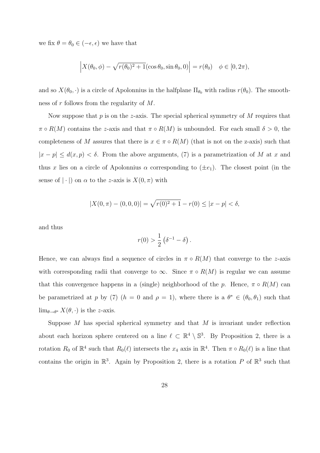we fix  $\theta = \theta_0 \in (-\epsilon, \epsilon)$  we have that

$$
\left| X(\theta_0, \phi) - \sqrt{r(\theta_0)^2 + 1} (\cos \theta_0, \sin \theta_0, 0) \right| = r(\theta_0) \quad \phi \in [0, 2\pi),
$$

and so  $X(\theta_0, \cdot)$  is a circle of Apolonnius in the halfplane  $\Pi_{\theta_0}$  with radius  $r(\theta_0)$ . The smoothness of  $r$  follows from the regularity of  $M$ .

Now suppose that  $p$  is on the z-axis. The special spherical symmetry of  $M$  requires that  $\pi \circ R(M)$  contains the z-axis and that  $\pi \circ R(M)$  is unbounded. For each small  $\delta > 0$ , the completeness of M assures that there is  $x \in \pi \circ R(M)$  (that is not on the z-axis) such that  $|x - p| \leq d(x, p) < \delta$ . From the above arguments, (7) is a parametrization of M at x and thus x lies on a circle of Apolonnius  $\alpha$  corresponding to  $(\pm e_1)$ . The closest point (in the sense of  $|\cdot|$  on  $\alpha$  to the z-axis is  $X(0, \pi)$  with

$$
|X(0, \pi) - (0, 0, 0)| = \sqrt{r(0)^2 + 1} - r(0) \le |x - p| < \delta,
$$

and thus

$$
r(0) > \frac{1}{2} (\delta^{-1} - \delta).
$$

Hence, we can always find a sequence of circles in  $\pi \circ R(M)$  that converge to the z-axis with corresponding radii that converge to  $\infty$ . Since  $\pi \circ R(M)$  is regular we can assume that this convergence happens in a (single) neighborhood of the p. Hence,  $\pi \circ R(M)$  can be parametrized at p by (7)  $(h = 0 \text{ and } \rho = 1)$ , where there is a  $\theta^* \in (\theta_0, \theta_1)$  such that  $\lim_{\theta \to \theta^*} X(\theta, \cdot)$  is the *z*-axis.

Suppose  $M$  has special spherical symmetry and that  $M$  is invariant under reflection about each horizon sphere centered on a line  $\ell \subset \mathbb{R}^4 \setminus \mathbb{S}^3$ . By Proposition 2, there is a rotation  $R_0$  of  $\mathbb{R}^4$  such that  $R_0(\ell)$  intersects the  $x_4$  axis in  $\mathbb{R}^4$ . Then  $\pi \circ R_0(\ell)$  is a line that contains the origin in  $\mathbb{R}^3$ . Again by Proposition 2, there is a rotation P of  $\mathbb{R}^3$  such that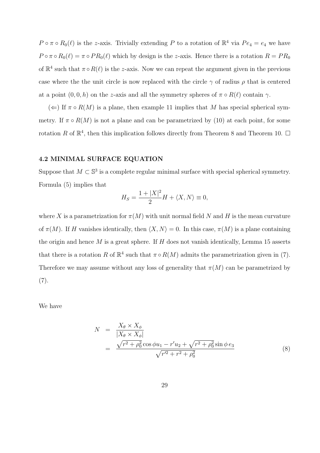$P \circ \pi \circ R_0(\ell)$  is the z-axis. Trivially extending P to a rotation of  $\mathbb{R}^4$  via  $Pe_4 = e_4$  we have  $P \circ \pi \circ R_0(\ell) = \pi \circ PR_0(\ell)$  which by design is the z-axis. Hence there is a rotation  $R = PR_0$ of  $\mathbb{R}^4$  such that  $\pi \circ R(\ell)$  is the z-axis. Now we can repeat the argument given in the previous case where the the unit circle is now replaced with the circle  $\gamma$  of radius  $\rho$  that is centered at a point  $(0, 0, h)$  on the z-axis and all the symmetry spheres of  $\pi \circ R(\ell)$  contain  $\gamma$ .

 $(\Leftarrow)$  If  $\pi \circ R(M)$  is a plane, then example 11 implies that M has special spherical symmetry. If  $\pi \circ R(M)$  is not a plane and can be parametrized by (10) at each point, for some rotation R of  $\mathbb{R}^4$ , then this implication follows directly from Theorem 8 and Theorem 10.  $\Box$ 

#### 4.2 MINIMAL SURFACE EQUATION

Suppose that  $M \subset \mathbb{S}^3$  is a complete regular minimal surface with special spherical symmetry. Formula (5) implies that

$$
H_S = \frac{1 + |X|^2}{2}H + \langle X, N \rangle \equiv 0,
$$

where X is a parametrization for  $\pi(M)$  with unit normal field N and H is the mean curvature of  $\pi(M)$ . If H vanishes identically, then  $\langle X, N \rangle = 0$ . In this case,  $\pi(M)$  is a plane containing the origin and hence  $M$  is a great sphere. If  $H$  does not vanish identically, Lemma 15 asserts that there is a rotation R of  $\mathbb{R}^4$  such that  $\pi \circ R(M)$  admits the parametrization given in (7). Therefore we may assume without any loss of generality that  $\pi(M)$  can be parametrized by  $(7).$ 

We have

$$
N = \frac{X_{\theta} \times X_{\phi}}{|X_{\theta} \times X_{\phi}|} = \frac{\sqrt{r^2 + \rho_0^2} \cos \phi u_1 - r' u_2 + \sqrt{r^2 + \rho_0^2} \sin \phi e_3}{\sqrt{r'^2 + r^2 + \rho_0^2}}
$$
(8)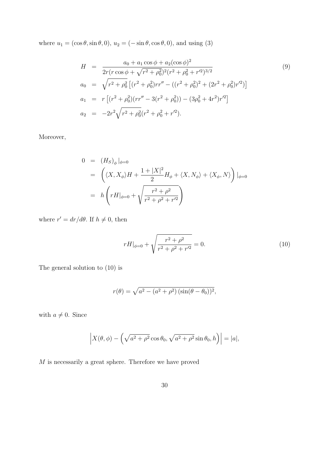where  $u_1 = (\cos \theta, \sin \theta, 0), u_2 = (-\sin \theta, \cos \theta, 0)$ , and using (3)

$$
H = \frac{a_0 + a_1 \cos \phi + a_2(\cos \phi)^2}{2r(r \cos \phi + \sqrt{r^2 + \rho_0^2})^2 (r^2 + \rho_0^2 + r^2)^{3/2}}
$$
(9)  
\n
$$
a_0 = \sqrt{r^2 + \rho_0^2} \left[ (r^2 + \rho_0^2)rr'' - ((r^2 + \rho_0^2)^2 + (2r^2 + \rho_0^2)r'^2) \right]
$$
  
\n
$$
a_1 = r \left[ (r^2 + \rho_0^2)(rr'' - 3(r^2 + \rho_0^2)) - (3\rho_0^2 + 4r^2)r'^2 \right]
$$
  
\n
$$
a_2 = -2r^2 \sqrt{r^2 + \rho_0^2} (r^2 + \rho_0^2 + r'^2).
$$
 (9)

Moreover,

$$
0 = (H_S)_{\phi}|_{\phi=0}
$$
  
=  $\left( \langle X, X_{\phi} \rangle H + \frac{1 + |X|^2}{2} H_{\phi} + \langle X, N_{\phi} \rangle + \langle X_{\phi}, N \rangle \right)|_{\phi=0}$   
=  $h \left( r H|_{\phi=0} + \sqrt{\frac{r^2 + \rho^2}{r^2 + \rho^2 + r'^2}} \right)$ 

where  $r' = dr/d\theta$ . If  $h \neq 0$ , then

$$
rH|_{\phi=0} + \sqrt{\frac{r^2 + \rho^2}{r^2 + \rho^2 + r^2}} = 0.
$$
\n(10)

The general solution to (10) is

$$
r(\theta) = \sqrt{a^2 - (a^2 + \rho^2) (\sin(\theta - \theta_0))^2},
$$

with  $a \neq 0$ . Since

$$
\left| X(\theta,\phi) - \left( \sqrt{a^2 + \rho^2} \cos \theta_0, \sqrt{a^2 + \rho^2} \sin \theta_0, h \right) \right| = |a|,
$$

 $M$  is necessarily a great sphere. Therefore we have proved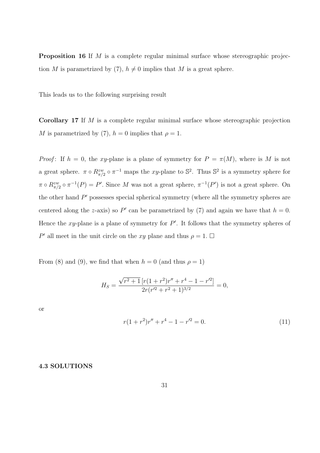Proposition 16 If M is a complete regular minimal surface whose stereographic projection M is parametrized by (7),  $h \neq 0$  implies that M is a great sphere.

This leads us to the following surprising result

Corollary 17 If M is a complete regular minimal surface whose stereographic projection M is parametrized by (7),  $h = 0$  implies that  $\rho = 1$ .

*Proof*: If  $h = 0$ , the xy-plane is a plane of symmetry for  $P = \pi(M)$ , where is M is not a great sphere.  $\pi \circ R_{\pi/2}^{zw} \circ \pi^{-1}$  maps the xy-plane to  $\mathbb{S}^2$ . Thus  $\mathbb{S}^2$  is a symmetry sphere for  $\pi \circ R_{\pi/2}^{zw} \circ \pi^{-1}(P) = P'$ . Since M was not a great sphere,  $\pi^{-1}(P')$  is not a great sphere. On the other hand  $P'$  possesses special spherical symmetry (where all the symmetry spheres are centered along the z-axis) so P' can be parametrized by (7) and again we have that  $h = 0$ . Hence the xy-plane is a plane of symmetry for  $P'$ . It follows that the symmetry spheres of P' all meet in the unit circle on the xy plane and thus  $\rho = 1$ .  $\Box$ 

From (8) and (9), we find that when  $h = 0$  (and thus  $\rho = 1$ )

$$
H_S = \frac{\sqrt{r^2 + 1} \left[ r(1 + r^2) r'' + r^4 - 1 - r'^2 \right]}{2r(r'^2 + r^2 + 1)^{3/2}} = 0,
$$

or

$$
r(1+r^2)r'' + r^4 - 1 - r'^2 = 0.
$$
\n(11)

#### 4.3 SOLUTIONS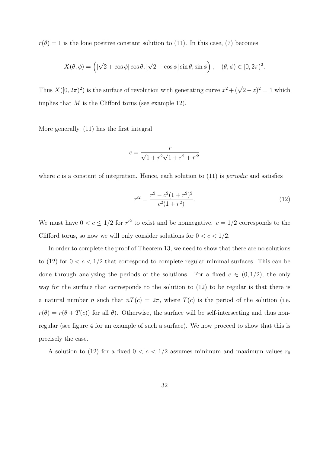$r(\theta) = 1$  is the lone positive constant solution to (11). In this case, (7) becomes

$$
X(\theta, \phi) = \left( [\sqrt{2} + \cos \phi] \cos \theta, [\sqrt{2} + \cos \phi] \sin \theta, \sin \phi \right), \quad (\theta, \phi) \in [0, 2\pi)^2.
$$

Thus  $X([0, 2\pi)^2)$  is the surface of revolution with generating curve  $x^2 + (\sqrt{2} - z)^2 = 1$  which implies that  $M$  is the Clifford torus (see example 12).

More generally, (11) has the first integral

$$
c = \frac{r}{\sqrt{1 + r^2}\sqrt{1 + r^2 + r'^2}}
$$

where c is a constant of integration. Hence, each solution to  $(11)$  is *periodic* and satisfies

$$
r'^2 = \frac{r^2 - c^2(1+r^2)^2}{c^2(1+r^2)}.
$$
\n(12)

We must have  $0 < c \leq 1/2$  for  $r'^2$  to exist and be nonnegative.  $c = 1/2$  corresponds to the Clifford torus, so now we will only consider solutions for  $0 < c < 1/2$ .

In order to complete the proof of Theorem 13, we need to show that there are no solutions to (12) for  $0 < c < 1/2$  that correspond to complete regular minimal surfaces. This can be done through analyzing the periods of the solutions. For a fixed  $c \in (0, 1/2)$ , the only way for the surface that corresponds to the solution to (12) to be regular is that there is a natural number n such that  $nT(c) = 2\pi$ , where  $T(c)$  is the period of the solution (i.e.  $r(\theta) = r(\theta + T(c))$  for all  $\theta$ ). Otherwise, the surface will be self-intersecting and thus nonregular (see figure 4 for an example of such a surface). We now proceed to show that this is precisely the case.

A solution to (12) for a fixed  $0 < c < 1/2$  assumes minimum and maximum values  $r_0$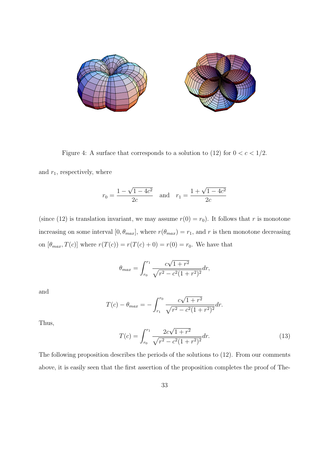

Figure 4: A surface that corresponds to a solution to (12) for  $0 < c < 1/2$ .

and  $r_1$ , respectively, where

$$
r_0 = \frac{1 - \sqrt{1 - 4c^2}}{2c}
$$
 and  $r_1 = \frac{1 + \sqrt{1 - 4c^2}}{2c}$ 

(since (12) is translation invariant, we may assume  $r(0) = r_0$ ). It follows that r is monotone increasing on some interval  $[0, \theta_{max}]$ , where  $r(\theta_{max}) = r_1$ , and r is then monotone decreasing on  $[\theta_{max}, T(c)]$  where  $r(T(c)) = r(T(c) + 0) = r(0) = r_0$ . We have that

$$
\theta_{max} = \int_{r_0}^{r_1} \frac{c\sqrt{1+r^2}}{\sqrt{r^2 - c^2(1+r^2)^2}} dr,
$$

and

$$
T(c) - \theta_{max} = -\int_{r_1}^{r_0} \frac{c\sqrt{1+r^2}}{\sqrt{r^2 - c^2(1+r^2)^2}} dr.
$$

Thus,

$$
T(c) = \int_{r_0}^{r_1} \frac{2c\sqrt{1+r^2}}{\sqrt{r^2 - c^2(1+r^2)^2}} dr.
$$
 (13)

The following proposition describes the periods of the solutions to (12). From our comments above, it is easily seen that the first assertion of the proposition completes the proof of The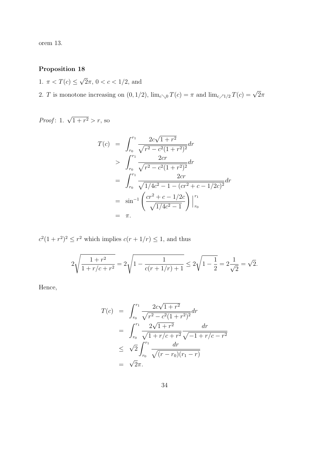orem 13.

# Proposition 18

1.  $\pi < T(c) \leq$ √  $\overline{2}\pi$ ,  $0 < c < 1/2$ , and

2. T is monotone increasing on  $(0, 1/2)$ ,  $\lim_{c\to 0} T(c) = \pi$  and  $\lim_{c\to 1/2} T(c) = \sqrt{2}\pi$ 

*Proof*: 1.  $\sqrt{1+r^2} > r$ , so

$$
T(c) = \int_{r_0}^{r_1} \frac{2c\sqrt{1+r^2}}{\sqrt{r^2-c^2(1+r^2)^2}} dr
$$
  
\n
$$
> \int_{r_0}^{r_1} \frac{2cr}{\sqrt{r^2-c^2(1+r^2)^2}} dr
$$
  
\n
$$
= \int_{r_0}^{r_1} \frac{2cr}{\sqrt{1/4c^2-1-(cr^2+c-1/2c)^2}} dr
$$
  
\n
$$
= \sin^{-1} \left( \frac{cr^2+c-1/2c}{\sqrt{1/4c^2-1}} \right) \Big|_{r_0}^{r_1}
$$
  
\n
$$
= \pi.
$$

 $c^2(1+r^2)^2 \leq r^2$  which implies  $c(r+1/r) \leq 1$ , and thus

$$
2\sqrt{\frac{1+r^2}{1+r/c+r^2}} = 2\sqrt{1-\frac{1}{c(r+1/r)+1}} \le 2\sqrt{1-\frac{1}{2}} = 2\frac{1}{\sqrt{2}} = \sqrt{2}.
$$

Hence,

$$
T(c) = \int_{r_0}^{r_1} \frac{2c\sqrt{1+r^2}}{\sqrt{r^2-c^2(1+r^2)^2}} dr
$$
  
= 
$$
\int_{r_0}^{r_1} \frac{2\sqrt{1+r^2}}{\sqrt{1+r/c+r^2}} \frac{dr}{\sqrt{-1+r/c-r^2}}
$$
  

$$
\leq \sqrt{2} \int_{r_0}^{r_1} \frac{dr}{\sqrt{(r-r_0)(r_1-r)}}
$$
  
= 
$$
\sqrt{2}\pi.
$$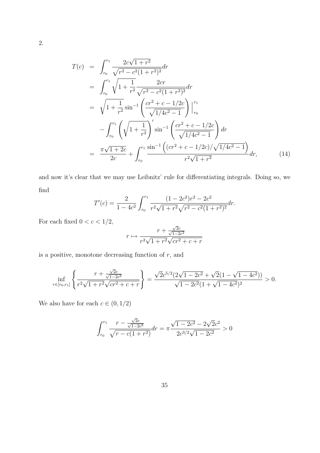$$
T(c) = \int_{r_0}^{r_1} \frac{2c\sqrt{1+r^2}}{\sqrt{r^2-c^2(1+r^2)^2}} dr
$$
  
\n
$$
= \int_{r_0}^{r_1} \sqrt{1+\frac{1}{r^2}} \frac{2cr}{\sqrt{r^2-c^2(1+r^2)^2}} dr
$$
  
\n
$$
= \sqrt{1+\frac{1}{r^2}} \sin^{-1} \left(\frac{cr^2+c-1/2c}{\sqrt{1/4c^2-1}}\right) \Big|_{r_0}^{r_1}
$$
  
\n
$$
- \int_{r_0}^{r_1} \left(\sqrt{1+\frac{1}{r^2}}\right)' \sin^{-1} \left(\frac{cr^2+c-1/2c}{\sqrt{1/4c^2-1}}\right) dr
$$
  
\n
$$
= \frac{\pi\sqrt{1+2c}}{2c} + \int_{r_0}^{r_1} \frac{\sin^{-1} \left((cr^2+c-1/2c)/\sqrt{1/4c^2-1}\right)}{r^2\sqrt{1+r^2}} dr,
$$
 (14)

and now it's clear that we may use Leibnitz' rule for differentiating integrals. Doing so, we find

$$
T'(c) = \frac{2}{1 - 4c^2} \int_{r_0}^{r_1} \frac{(1 - 2c^2)r^2 - 2c^2}{r^2 \sqrt{1 + r^2} \sqrt{r^2 - c^2}(1 + r^2)^2} dr.
$$

For each fixed  $0 < c < 1/2,$ 

$$
r \mapsto \frac{r + \frac{\sqrt{2}c}{\sqrt{1 - 2c^2}}}{r^2 \sqrt{1 + r^2} \sqrt{cr^2 + c + r}}
$$

is a positive, monotone decreasing function of  $r$ , and

$$
\inf_{r \in [r_0, r_1]} \left\{ \frac{r + \frac{\sqrt{2}c}{\sqrt{1 - 2c^2}}}{r^2 \sqrt{1 + r^2} \sqrt{cr^2 + c + r}} \right\} = \frac{\sqrt{2}c^{5/2}(2\sqrt{1 - 2c^2} + \sqrt{2}(1 - \sqrt{1 - 4c^2}))}{\sqrt{1 - 2c^2}(1 + \sqrt{1 - 4c^2})^2} > 0.
$$

We also have for each  $c \in (0,1/2)$ 

$$
\int_{r_0}^{r_1} \frac{r - \frac{\sqrt{2c}}{\sqrt{1 - 2c^2}}}{\sqrt{r - c(1 + r^2)}} dr = \pi \frac{\sqrt{1 - 2c^2} - 2\sqrt{2c^2}}{2c^{3/2}\sqrt{1 - 2c^2}} > 0
$$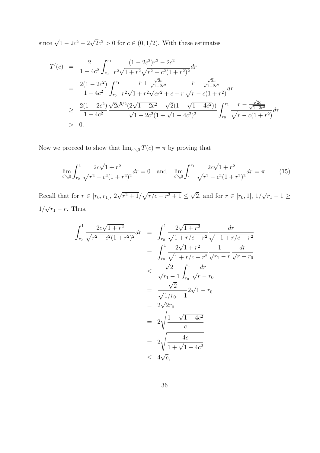since  $\sqrt{1 - 2c^2} - 2$ √  $\overline{2}c^2 > 0$  for  $c \in (0, 1/2)$ . With these estimates

$$
T'(c) = \frac{2}{1 - 4c^2} \int_{r_0}^{r_1} \frac{(1 - 2c^2)r^2 - 2c^2}{r^2 \sqrt{1 + r^2} \sqrt{r^2 - c^2 (1 + r^2)^2}} dr
$$
  
\n
$$
= \frac{2(1 - 2c^2)}{1 - 4c^2} \int_{r_0}^{r_1} \frac{r + \frac{\sqrt{2}c}{\sqrt{1 - 2c^2}}}{r^2 \sqrt{1 + r^2} \sqrt{c}r^2 + c + r} \frac{r - \frac{\sqrt{2}c}{\sqrt{1 - 2c^2}}}{\sqrt{r - c(1 + r^2)}} dr
$$
  
\n
$$
\geq \frac{2(1 - 2c^2)}{1 - 4c^2} \frac{\sqrt{2}c^{5/2}(2\sqrt{1 - 2c^2} + \sqrt{2}(1 - \sqrt{1 - 4c^2}))}{\sqrt{1 - 2c^2}(1 + \sqrt{1 - 4c^2})^2} \int_{r_0}^{r_1} \frac{r - \frac{\sqrt{2}c}{\sqrt{1 - 2c^2}}}{\sqrt{r - c(1 + r^2)}} dr
$$
  
\n
$$
> 0.
$$

Now we proceed to show that  $\lim_{c\searrow 0} T(c) = \pi$  by proving that

$$
\lim_{c \searrow 0} \int_{r_0}^1 \frac{2c\sqrt{1+r^2}}{\sqrt{r^2 - c^2(1+r^2)^2}} dr = 0 \quad \text{and} \quad \lim_{c \searrow 0} \int_1^{r_1} \frac{2c\sqrt{1+r^2}}{\sqrt{r^2 - c^2(1+r^2)^2}} dr = \pi. \tag{15}
$$

Recall that for  $r \in [r_0, r_1]$ ,  $2\sqrt{r^2 + 1}/$ p  $r/c + r^2 + 1 \leq$ √ 2, and for  $r \in [r_0, 1], 1/$ √  $\overline{r_1 - 1} \geq$ 1/ √  $\overline{r_1-r}$ . Thus,

$$
\int_{r_0}^{1} \frac{2c\sqrt{1+r^2}}{\sqrt{r^2-c^2(1+r^2)^2}} dr = \int_{r_0}^{1} \frac{2\sqrt{1+r^2}}{\sqrt{1+r/c+r^2}} \frac{dr}{\sqrt{-1+r/c-r^2}} \n= \int_{r_0}^{1} \frac{2\sqrt{1+r^2}}{\sqrt{1+r/c+r^2}} \frac{1}{\sqrt{r_1-r}} \frac{dr}{\sqrt{r-r_0}} \n\leq \frac{\sqrt{2}}{\sqrt{r_1-1}} \int_{r_0}^{1} \frac{dr}{\sqrt{r-r_0}} \n= \frac{\sqrt{2}}{\sqrt{1/r_0-1}} 2\sqrt{1-r_0} \n= 2\sqrt{\frac{1-\sqrt{1-4c^2}}{c}} \n= 2\sqrt{\frac{4c}{1+\sqrt{1-4c^2}}}
$$
\n
$$
\leq 4\sqrt{c},
$$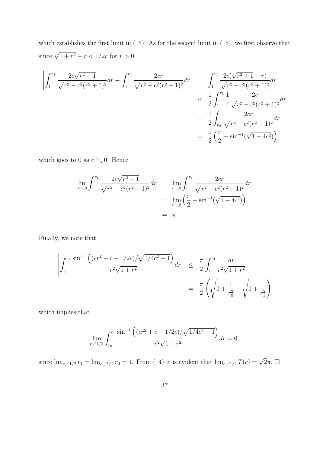which establishes the first limit in (15). As for the second limit in (15), we first observe that since  $\sqrt{1+r^2} - r < 1/2r$  for  $r > 0$ ,

$$
\left| \int_{1}^{r_1} \frac{2c\sqrt{r^2 + 1}}{\sqrt{r^2 - c^2(r^2 + 1)^2}} dr - \int_{1}^{r_1} \frac{2cr}{\sqrt{r^2 - c^2(r^2 + 1)^2}} dr \right| = \int_{1}^{r_1} \frac{2c(\sqrt{r^2 + 1} - r)}{\sqrt{r^2 - c^2(r^2 + 1)^2}} dr
$$
  

$$
< \frac{1}{2} \int_{1}^{r_1} \frac{1}{r} \frac{2c}{\sqrt{r^2 - c^2(r^2 + 1)^2}} dr
$$
  

$$
= \frac{1}{2} \int_{r_0}^{1} \frac{2cr}{\sqrt{r^2 - c^2(r^2 + 1)^2}} dr
$$
  

$$
= \frac{1}{2} \left( \frac{\pi}{2} - \sin^{-1}(\sqrt{1 - 4c^2}) \right)
$$

which goes to 0 as  $c \searrow 0$ . Hence

$$
\lim_{c \searrow 0} \int_{1}^{r_1} \frac{2c\sqrt{r^2 + 1}}{\sqrt{r^2 - c^2(r^2 + 1)^2}} dr = \lim_{c \searrow 0} \int_{1}^{r_1} \frac{2cr}{\sqrt{r^2 - c^2(r^2 + 1)^2}} dr
$$

$$
= \lim_{c \searrow 0} \left(\frac{\pi}{2} + \sin^{-1}(\sqrt{1 - 4c^2})\right)
$$

$$
= \pi.
$$

Finally, we note that

$$
\left| \int_{r_0}^{r_1} \frac{\sin^{-1}\left( (cr^2 + c - 1/2c) / \sqrt{1/4c^2 - 1} \right)}{r^2 \sqrt{1 + r^2}} dr \right| \leq \frac{\pi}{2} \int_{r_0}^{r_1} \frac{dr}{r^2 \sqrt{1 + r^2}} \n= \frac{\pi}{2} \left( \sqrt{1 + \frac{1}{r_0^2}} - \sqrt{1 + \frac{1}{r_1^2}} \right)
$$

which implies that

$$
\lim_{c \nearrow 1/2} \int_{r_0}^{r_1} \frac{\sin^{-1} \left( (cr^2 + c - 1/2c) / \sqrt{1/4c^2 - 1} \right)}{r^2 \sqrt{1 + r^2}} dr = 0,
$$

since  $\lim_{c \nearrow 1/2} r_1 = \lim_{c \nearrow 1/2} r_0 = 1$ . From (14) it is evident that  $\lim_{c \nearrow 1/2} T(c) = \sqrt{2}\pi$ .  $\Box$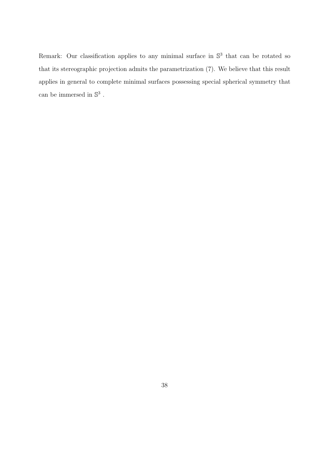Remark: Our classification applies to any minimal surface in  $\mathbb{S}^3$  that can be rotated so that its stereographic projection admits the parametrization (7). We believe that this result applies in general to complete minimal surfaces possessing special spherical symmetry that can be immersed in  $\mathbb{S}^3$ .